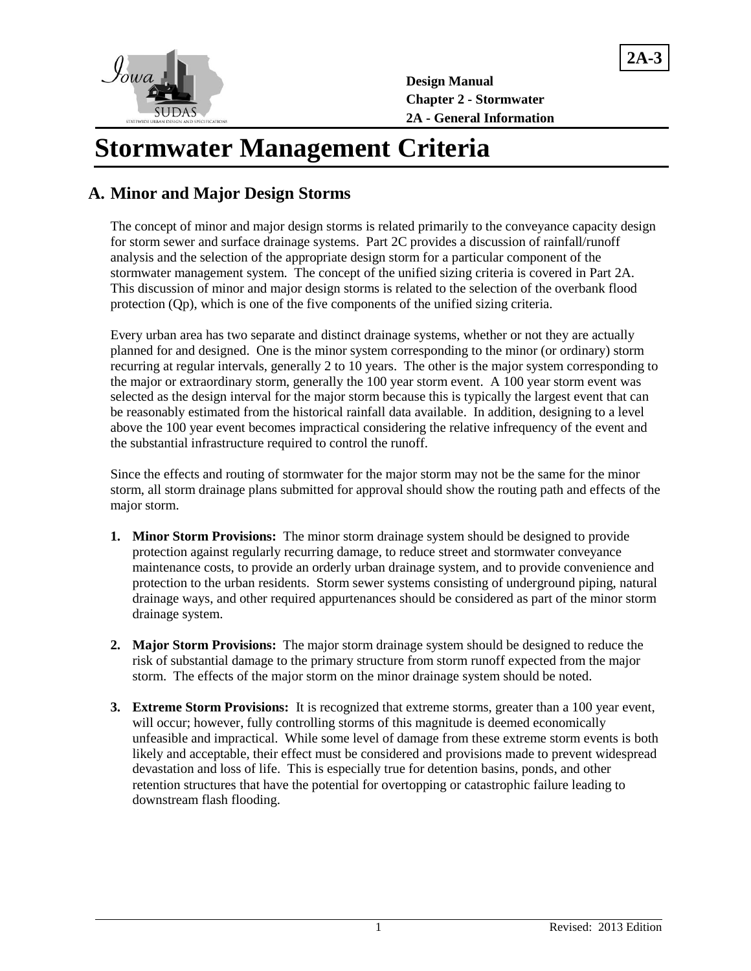

**Design Manual Chapter 2 - Stormwater 2A - General Information**  **2A-3**

# **Stormwater Management Criteria**

# **A. Minor and Major Design Storms**

The concept of minor and major design storms is related primarily to the conveyance capacity design for storm sewer and surface drainage systems. Part 2C provides a discussion of rainfall/runoff analysis and the selection of the appropriate design storm for a particular component of the stormwater management system. The concept of the unified sizing criteria is covered in Part 2A. This discussion of minor and major design storms is related to the selection of the overbank flood protection (Qp), which is one of the five components of the unified sizing criteria.

Every urban area has two separate and distinct drainage systems, whether or not they are actually planned for and designed. One is the minor system corresponding to the minor (or ordinary) storm recurring at regular intervals, generally 2 to 10 years. The other is the major system corresponding to the major or extraordinary storm, generally the 100 year storm event. A 100 year storm event was selected as the design interval for the major storm because this is typically the largest event that can be reasonably estimated from the historical rainfall data available. In addition, designing to a level above the 100 year event becomes impractical considering the relative infrequency of the event and the substantial infrastructure required to control the runoff.

Since the effects and routing of stormwater for the major storm may not be the same for the minor storm, all storm drainage plans submitted for approval should show the routing path and effects of the major storm.

- **1. Minor Storm Provisions:** The minor storm drainage system should be designed to provide protection against regularly recurring damage, to reduce street and stormwater conveyance maintenance costs, to provide an orderly urban drainage system, and to provide convenience and protection to the urban residents. Storm sewer systems consisting of underground piping, natural drainage ways, and other required appurtenances should be considered as part of the minor storm drainage system.
- **2. Major Storm Provisions:** The major storm drainage system should be designed to reduce the risk of substantial damage to the primary structure from storm runoff expected from the major storm. The effects of the major storm on the minor drainage system should be noted.
- **3. Extreme Storm Provisions:** It is recognized that extreme storms, greater than a 100 year event, will occur; however, fully controlling storms of this magnitude is deemed economically unfeasible and impractical. While some level of damage from these extreme storm events is both likely and acceptable, their effect must be considered and provisions made to prevent widespread devastation and loss of life. This is especially true for detention basins, ponds, and other retention structures that have the potential for overtopping or catastrophic failure leading to downstream flash flooding.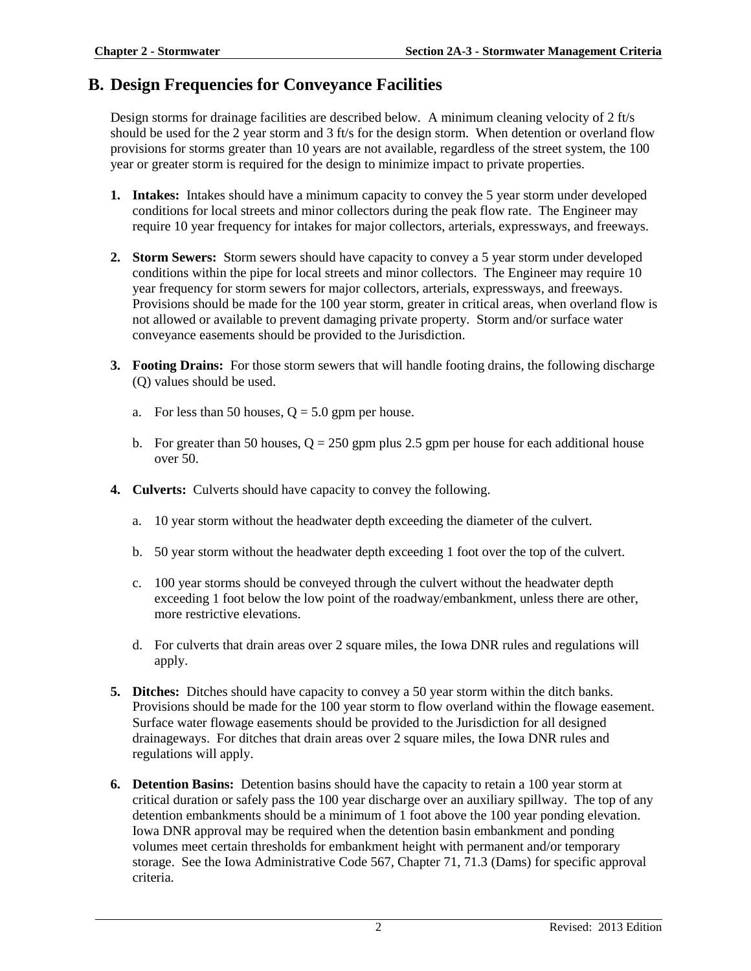### **B. Design Frequencies for Conveyance Facilities**

Design storms for drainage facilities are described below. A minimum cleaning velocity of 2 ft/s should be used for the 2 year storm and 3 ft/s for the design storm. When detention or overland flow provisions for storms greater than 10 years are not available, regardless of the street system, the 100 year or greater storm is required for the design to minimize impact to private properties.

- **1. Intakes:** Intakes should have a minimum capacity to convey the 5 year storm under developed conditions for local streets and minor collectors during the peak flow rate. The Engineer may require 10 year frequency for intakes for major collectors, arterials, expressways, and freeways.
- **2. Storm Sewers:** Storm sewers should have capacity to convey a 5 year storm under developed conditions within the pipe for local streets and minor collectors. The Engineer may require 10 year frequency for storm sewers for major collectors, arterials, expressways, and freeways. Provisions should be made for the 100 year storm, greater in critical areas, when overland flow is not allowed or available to prevent damaging private property. Storm and/or surface water conveyance easements should be provided to the Jurisdiction.
- **3. Footing Drains:** For those storm sewers that will handle footing drains, the following discharge (Q) values should be used.
	- a. For less than 50 houses,  $Q = 5.0$  gpm per house.
	- b. For greater than 50 houses,  $Q = 250$  gpm plus 2.5 gpm per house for each additional house over 50.
- **4. Culverts:** Culverts should have capacity to convey the following.
	- a. 10 year storm without the headwater depth exceeding the diameter of the culvert.
	- b. 50 year storm without the headwater depth exceeding 1 foot over the top of the culvert.
	- c. 100 year storms should be conveyed through the culvert without the headwater depth exceeding 1 foot below the low point of the roadway/embankment, unless there are other, more restrictive elevations.
	- d. For culverts that drain areas over 2 square miles, the Iowa DNR rules and regulations will apply.
- **5. Ditches:** Ditches should have capacity to convey a 50 year storm within the ditch banks. Provisions should be made for the 100 year storm to flow overland within the flowage easement. Surface water flowage easements should be provided to the Jurisdiction for all designed drainageways. For ditches that drain areas over 2 square miles, the Iowa DNR rules and regulations will apply.
- **6. Detention Basins:** Detention basins should have the capacity to retain a 100 year storm at critical duration or safely pass the 100 year discharge over an auxiliary spillway. The top of any detention embankments should be a minimum of 1 foot above the 100 year ponding elevation. Iowa DNR approval may be required when the detention basin embankment and ponding volumes meet certain thresholds for embankment height with permanent and/or temporary storage. See the Iowa Administrative Code 567, Chapter 71, 71.3 (Dams) for specific approval criteria.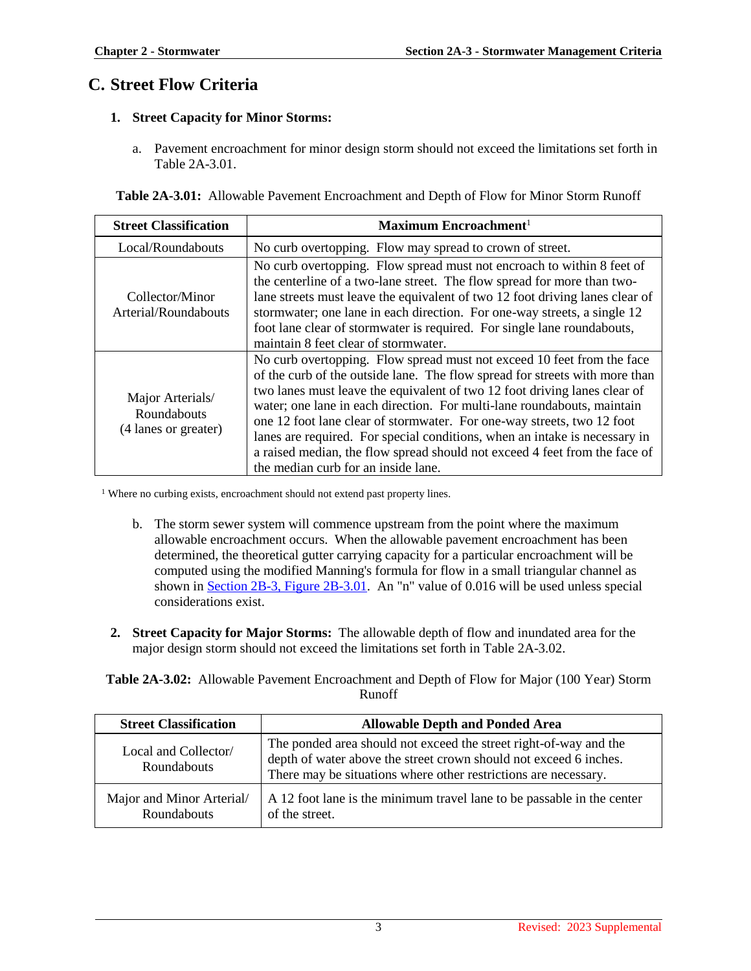# **C. Street Flow Criteria**

#### **1. Street Capacity for Minor Storms:**

a. Pavement encroachment for minor design storm should not exceed the limitations set forth in Table 2A-3.01.

|  |  | <b>Table 2A-3.01:</b> Allowable Pavement Encroachment and Depth of Flow for Minor Storm Runoff |
|--|--|------------------------------------------------------------------------------------------------|
|  |  |                                                                                                |

| <b>Street Classification</b>                            | Maximum Encroachment <sup>1</sup>                                                                                                                                                                                                                                                                                                                                                                                                                                                                                                                                                          |  |
|---------------------------------------------------------|--------------------------------------------------------------------------------------------------------------------------------------------------------------------------------------------------------------------------------------------------------------------------------------------------------------------------------------------------------------------------------------------------------------------------------------------------------------------------------------------------------------------------------------------------------------------------------------------|--|
| Local/Roundabouts                                       | No curb overtopping. Flow may spread to crown of street.                                                                                                                                                                                                                                                                                                                                                                                                                                                                                                                                   |  |
| Collector/Minor<br>Arterial/Roundabouts                 | No curb overtopping. Flow spread must not encroach to within 8 feet of<br>the centerline of a two-lane street. The flow spread for more than two-<br>lane streets must leave the equivalent of two 12 foot driving lanes clear of<br>stormwater; one lane in each direction. For one-way streets, a single 12<br>foot lane clear of stormwater is required. For single lane roundabouts,<br>maintain 8 feet clear of stormwater.                                                                                                                                                           |  |
| Major Arterials/<br>Roundabouts<br>(4 lanes or greater) | No curb overtopping. Flow spread must not exceed 10 feet from the face<br>of the curb of the outside lane. The flow spread for streets with more than<br>two lanes must leave the equivalent of two 12 foot driving lanes clear of<br>water; one lane in each direction. For multi-lane roundabouts, maintain<br>one 12 foot lane clear of stormwater. For one-way streets, two 12 foot<br>lanes are required. For special conditions, when an intake is necessary in<br>a raised median, the flow spread should not exceed 4 feet from the face of<br>the median curb for an inside lane. |  |

<sup>1</sup> Where no curbing exists, encroachment should not extend past property lines.

- b. The storm sewer system will commence upstream from the point where the maximum allowable encroachment occurs. When the allowable pavement encroachment has been determined, the theoretical gutter carrying capacity for a particular encroachment will be computed using the modified Manning's formula for flow in a small triangular channel as shown in [Section 2B-3, Figure 2B-3.01.](https://intrans.iastate.edu/app/uploads/sites/15/2020/03/2B-3.pdf#page=4) An "n" value of 0.016 will be used unless special considerations exist.
- **2. Street Capacity for Major Storms:** The allowable depth of flow and inundated area for the major design storm should not exceed the limitations set forth in Table 2A-3.02.

**Table 2A-3.02:** Allowable Pavement Encroachment and Depth of Flow for Major (100 Year) Storm Runoff

| <b>Street Classification</b>               | <b>Allowable Depth and Ponded Area</b>                                                                                                                                                                    |  |
|--------------------------------------------|-----------------------------------------------------------------------------------------------------------------------------------------------------------------------------------------------------------|--|
| Local and Collector/<br><b>Roundabouts</b> | The ponded area should not exceed the street right-of-way and the<br>depth of water above the street crown should not exceed 6 inches.<br>There may be situations where other restrictions are necessary. |  |
| Major and Minor Arterial/<br>Roundabouts   | A 12 foot lane is the minimum travel lane to be passable in the center<br>of the street.                                                                                                                  |  |